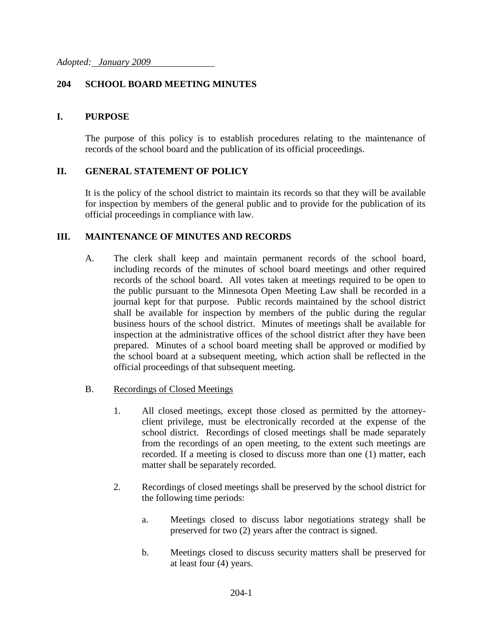## **204 SCHOOL BOARD MEETING MINUTES**

### **I. PURPOSE**

The purpose of this policy is to establish procedures relating to the maintenance of records of the school board and the publication of its official proceedings.

## **II. GENERAL STATEMENT OF POLICY**

It is the policy of the school district to maintain its records so that they will be available for inspection by members of the general public and to provide for the publication of its official proceedings in compliance with law.

### **III. MAINTENANCE OF MINUTES AND RECORDS**

- A. The clerk shall keep and maintain permanent records of the school board, including records of the minutes of school board meetings and other required records of the school board. All votes taken at meetings required to be open to the public pursuant to the Minnesota Open Meeting Law shall be recorded in a journal kept for that purpose. Public records maintained by the school district shall be available for inspection by members of the public during the regular business hours of the school district. Minutes of meetings shall be available for inspection at the administrative offices of the school district after they have been prepared. Minutes of a school board meeting shall be approved or modified by the school board at a subsequent meeting, which action shall be reflected in the official proceedings of that subsequent meeting.
- B. Recordings of Closed Meetings
	- 1. All closed meetings, except those closed as permitted by the attorneyclient privilege, must be electronically recorded at the expense of the school district. Recordings of closed meetings shall be made separately from the recordings of an open meeting, to the extent such meetings are recorded. If a meeting is closed to discuss more than one (1) matter, each matter shall be separately recorded.
	- 2. Recordings of closed meetings shall be preserved by the school district for the following time periods:
		- a. Meetings closed to discuss labor negotiations strategy shall be preserved for two (2) years after the contract is signed.
		- b. Meetings closed to discuss security matters shall be preserved for at least four (4) years.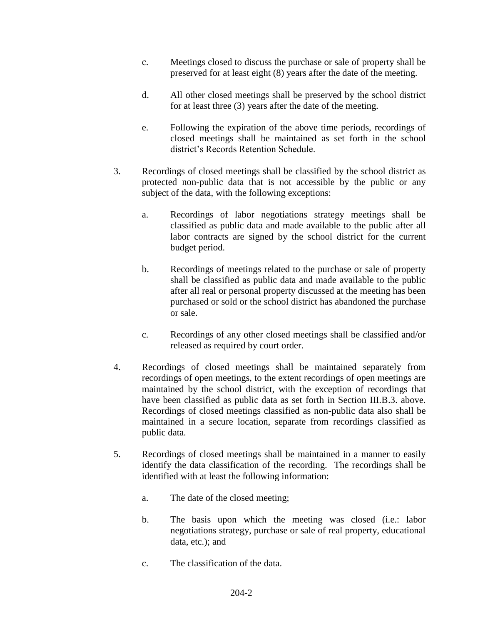- c. Meetings closed to discuss the purchase or sale of property shall be preserved for at least eight (8) years after the date of the meeting.
- d. All other closed meetings shall be preserved by the school district for at least three (3) years after the date of the meeting.
- e. Following the expiration of the above time periods, recordings of closed meetings shall be maintained as set forth in the school district's Records Retention Schedule.
- 3. Recordings of closed meetings shall be classified by the school district as protected non-public data that is not accessible by the public or any subject of the data, with the following exceptions:
	- a. Recordings of labor negotiations strategy meetings shall be classified as public data and made available to the public after all labor contracts are signed by the school district for the current budget period.
	- b. Recordings of meetings related to the purchase or sale of property shall be classified as public data and made available to the public after all real or personal property discussed at the meeting has been purchased or sold or the school district has abandoned the purchase or sale.
	- c. Recordings of any other closed meetings shall be classified and/or released as required by court order.
- 4. Recordings of closed meetings shall be maintained separately from recordings of open meetings, to the extent recordings of open meetings are maintained by the school district, with the exception of recordings that have been classified as public data as set forth in Section III.B.3. above. Recordings of closed meetings classified as non-public data also shall be maintained in a secure location, separate from recordings classified as public data.
- 5. Recordings of closed meetings shall be maintained in a manner to easily identify the data classification of the recording. The recordings shall be identified with at least the following information:
	- a. The date of the closed meeting;
	- b. The basis upon which the meeting was closed (i.e.: labor negotiations strategy, purchase or sale of real property, educational data, etc.); and
	- c. The classification of the data.